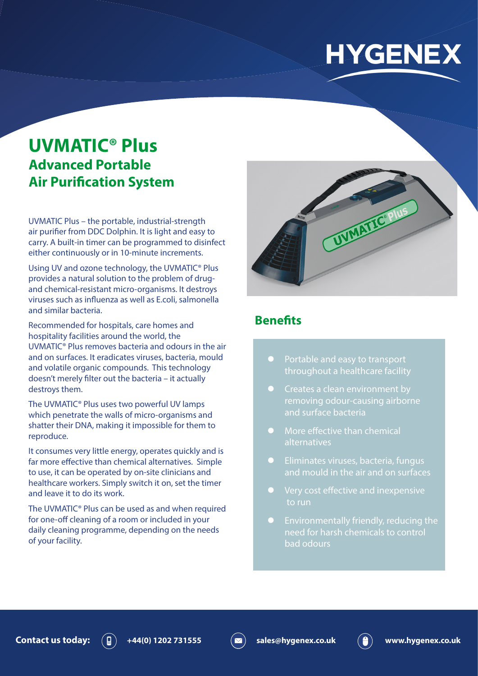# **HYGENEX**

# **UVMATIC® Plus Advanced Portable Air Purification System**

UVMATIC Plus – the portable, industrial-strength air purifier from DDC Dolphin. It is light and easy to carry. A built-in timer can be programmed to disinfect either continuously or in 10-minute increments.

Using UV and ozone technology, the UVMATIC® Plus provides a natural solution to the problem of drugand chemical-resistant micro-organisms. It destroys viruses such as influenza as well as E.coli, salmonella and similar bacteria.

Recommended for hospitals, care homes and hospitality facilities around the world, the UVMATIC® Plus removes bacteria and odours in the air and on surfaces. It eradicates viruses, bacteria, mould and volatile organic compounds. This technology doesn't merely filter out the bacteria – it actually destroys them.

The UVMATIC® Plus uses two powerful UV lamps which penetrate the walls of micro-organisms and shatter their DNA, making it impossible for them to reproduce.

It consumes very little energy, operates quickly and is far more effective than chemical alternatives. Simple to use, it can be operated by on-site clinicians and healthcare workers. Simply switch it on, set the timer and leave it to do its work.

The UVMATIC® Plus can be used as and when required for one-off cleaning of a room or included in your daily cleaning programme, depending on the needs of your facility.



#### **Benefits**

- Portable and easy to transport throughout a healthcare facility
- $\bullet$  Creates a clean environment by removing odour-causing airborne and surface bacteria
- More effective than chemical alternatives
- **•** Eliminates viruses, bacteria, fungus and mould in the air and on surfaces
- Very cost effective and inexpensive to run
- **Environmentally friendly, reducing the** need for harsh chemicals to control bad odours